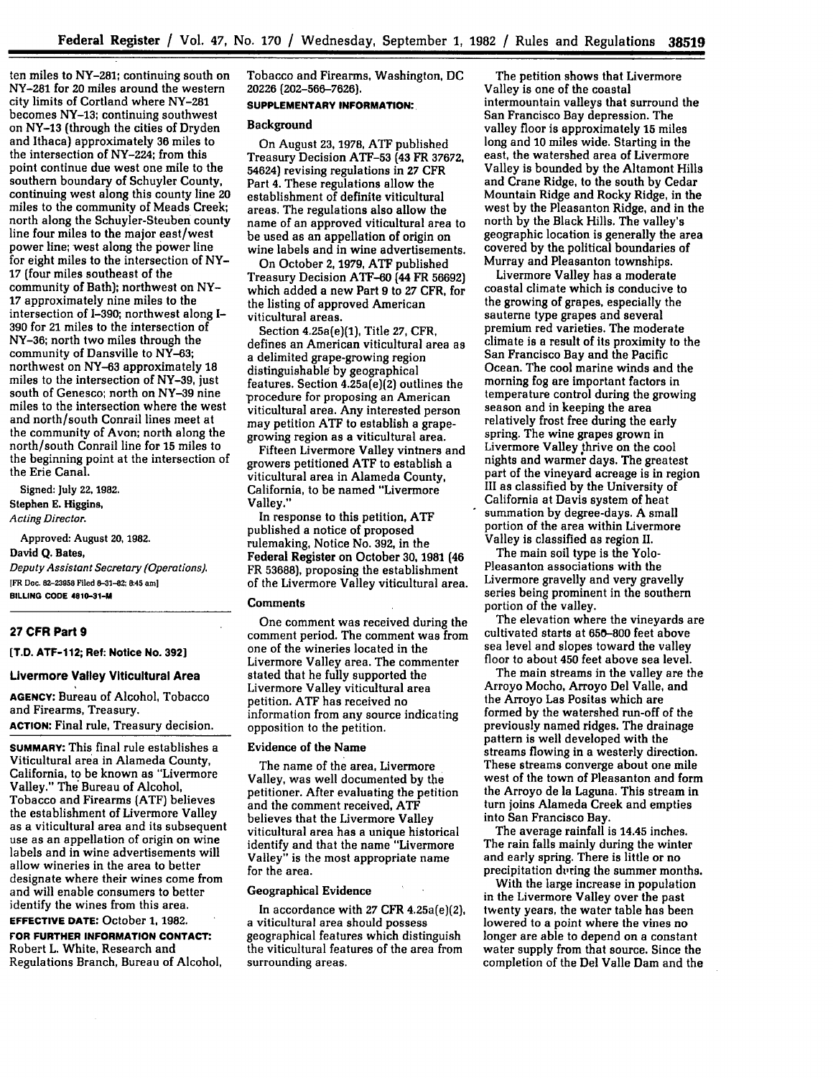ten miles to NY-281; continuing south on NY-281 for 20 miles around the western city limits of Cortland where NY-281 becomes **NY-13;** continuing southwest on **NY-13** (through the cities of Dryden and Ithaca) approximately 36 miles to the intersection of NY-224; from this point continue due west one mile to the southern boundary of Schuyler County, continuing west along this county line 20 miles to the community of Meads Creek; north along the Schuyler-Steuben county line four miles to the major east/west power line; west along the power line for eight miles to the intersection of NY-**17** (four miles southeast of the community of Bath); northwest on NY-**17** approximately nine miles to the intersection of 1-390; northwest along **I-390** for 21 miles to the intersection of NY-36; north two miles through the community of Dansville to NY-63; northwest on **NY-63** approximately 18 miles to the intersection of **NY-39,** just south of Genesco; north on **NY-39** nine miles to the intersection where the west and north/south Conrail lines meet at the community of Avon; north along the north/south Conrail line for **15** miles to the beginning point at the intersection of the Erie Canal.

Signed: July 22, 1982.

Stephen **E.** Higgins, *Acting Director.*

Approved: August **20, 1982.** David **Q.** Bates, *Deputy Assistant Secretary (Operations).* **1FR Doc. 82-23958 Filed 8-31-82; 8:45 am] BILLING CODE 4810-31-M**

### **27 CFR Part 9**

**[T.D. ATF-1 12; Ref: Notice No. 392]**

## **Livermore Valley Viticultural Area**

**AGENCY:** Bureau **of** Alcohol, Tobacco and Firearms, Treasury. **ACTION:** Final rule, Treasury decision.

**SUMMARY:** This final rule establishes a Viticultural area in Alameda County, California, to be known as "Livermore Valley." The Bureau of Alcohol, Tobacco and Firearms **(ATF)** believes the establishment of Livermore Valley as a viticultural area and its subsequent use as an appellation of origin on wine labels and in wine advertisements will allow wineries in the area to better designate where their wines come from and will enable consumers to better identify the wines from this area.

# **EFFECTIVE DATE:** October **1, 1982.**

**FOR FURTHER INFORMATION CONTACT:** Robert L. White, Research and Regulations Branch, Bureau of Alcohol, Tobacco and Firearms, Washington, **DC 20226** (202-566-7626].

# **SUPPLEMENTARY INFORMATION:**

#### **Background**

On August 23, **1978,** ATF published Treasury Decision ATF-53 (43 FR 37672, 54624) revising regulations in **27** CFR Part 4. These regulations allow the establishment of definite viticultural areas. The regulations also allow the name of an approved viticultural area to be used as an appellation of origin on wine labels and in wine advertisements.

On October **2, 1979, ATF** published Treasury Decision ATF-60 (44 FR **56692)** which added a new Part 9 to **27** CFR, for the listing of approved American viticultural areas.

Section 4.25a(e)(1), Title **27,** CFR, defines an American viticultural area as a delimited grape-growing region distinguishable by geographical features. Section 4.25a(e)(2} outlines the procedure for proposing an American viticultural area. Any interested person may petition ATF to establish a grapegrowing region as a viticultural area.

Fifteen Livermore Valley vintners and growers petitioned ATF to establish a viticultural area in Alameda County, California, to be named "Livermore Valley."

In response to this petition, ATF published a notice **of** proposed rulemaking, Notice No. **392,** in the **Federal Register** on **October 30, 1981** (46 FR **53688],** proposing the establishment of the Livermore Valley viticultural area.

#### **Comments**

One comment was received during the comment period. The comment was from one of the wineries located in the Livermore Valley area. The commenter stated that he fully supported the Livermore Valley viticultural area information from any source indicating opposition to the petition.

## Evidence of the Name

The name of the area, Livermore Valley, was well documented by the petitioner. After evaluating the petition and the comment received, ATF believes that the Livermore Valley viticultural area has a unique historical identify and that the name "Livermore Valley" is the most appropriate name for the area.

#### **Geographical Evidence**

In accordance with **27** CFR 4.25a(e)(2}, a viticultural area should possess geographical features which distinguish the viticultural features of the area from surrounding areas.

The petition shows that Livermore Valley is one of the coastal intermountain valleys that surround the San Francisco Bay depression. The valley floor is approximately **15** miles long and **10** miles wide. Starting in the east, the watershed area of Livermore Valley is bounded by the Altamont Hills and Crane Ridge, to the south by Cedar Mountain Ridge and Rocky Ridge, in the west by the Pleasanton Ridge, and in the north by the Black Hills. The valley's geographic location is generally the area covered by the political boundaries of Murray and Pleasanton townships.

Livermore Valley has a moderate coastal climate which is conducive to the growing of grapes, especially the sauterne type grapes and several premium red varieties. The moderate climate is a result of its proximity to the San Francisco Bay and the Pacific Ocean. The cool marine winds and the morning fog are important factors in temperature control during the growing season and in keeping the area relatively frost free during the early spring. The wine grapes grown in Livermore Valley thrive on the cool nights and warmer days. The greatest part of the vineyard acreage is in region III as classified by the University of California at Davis system of heat summation by degree-days. A small portion of the area within Livermore Valley is classified as region II.

The main soil type is the Yolo-Pleasanton associations with the Livermore gravelly and very gravelly series being prominent in the southern portion of the valley.

The elevation where the vineyards are cultivated starts at 650-800 feet above sea level and slopes toward the valley floor to about 450 feet above sea level.

The main streams in the valley are the Arroyo Mocho, Arroyo Del Valle, and the Arroyo Las Positas which are formed by the watershed run-off of the previously named ridges. The drainage pattern is well developed with the streams flowing in a westerly direction. These streams converge about one mile west of the town of Pleasanton and form the Arroyo de la Laguna. This stream in turn joins Alameda Creek and empties into San Francisco Bay.

The average rainfall is 14.45 inches. The rain falls mainly during the winter and early spring. There is little or no precipitation during the summer months.

With the large increase in population in the Livermore Valley over the past twenty years, the water table has been lowered to a point where the vines no longer are able to depend on a constant water supply from that source. Since the completion of the Del Valle Dam and the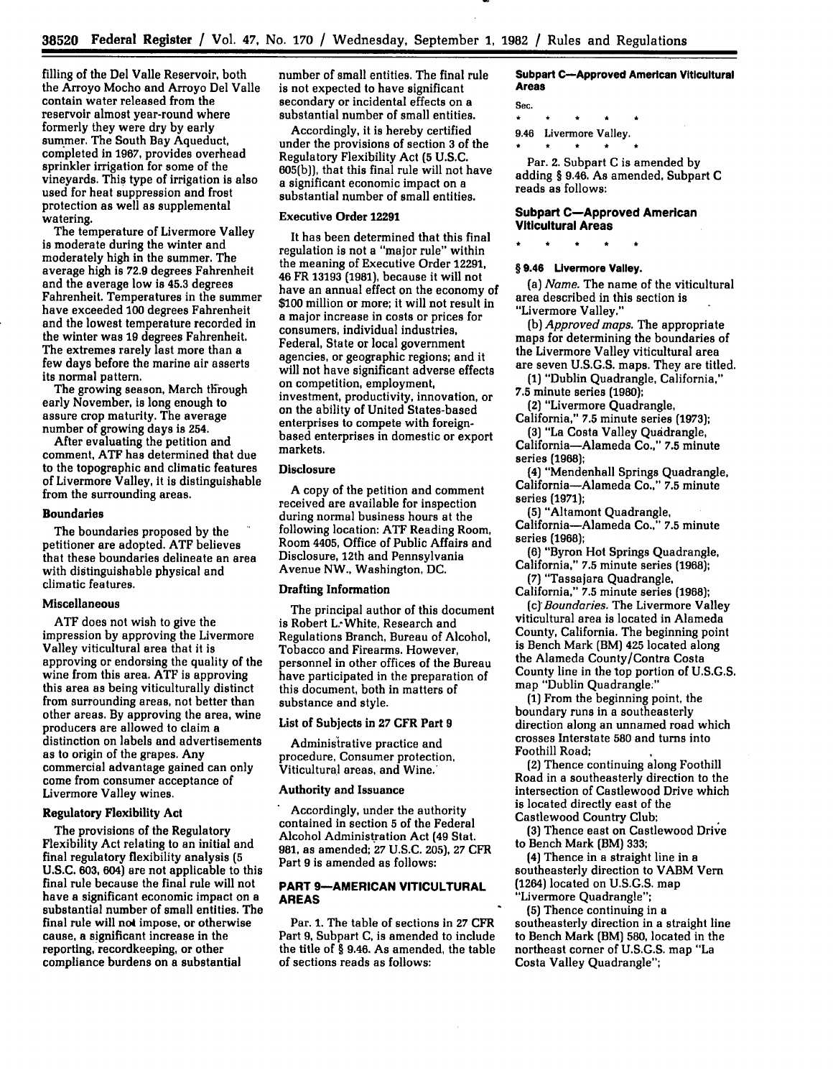filling of the Del Valle Reservoir, both the Arroyo Mocho and Arroyo Del Valle contain water released from the reservoir almost year-round where formerly they were dry **by** early summer. The South Bay Aqueduct, completed in **1967,** provides overhead sprinkler irrigation for some of the vineyards. This type of irrigation is also used for heat suppression and frost protection as well as supplemental watering.

The temperature of Livermore Valley is moderate during the winter and moderately high in the summer. The average high is **72.9** degrees Fahrenheit and the average low is 45.3 degrees Fahrenheit. Temperatures in the summer have exceeded **100** degrees Fahrenheit and the lowest temperature recorded in the winter was **19** degrees Fahrenheit. The extremes rarely last more than a few days before the marine air asserts its normal pattern.

The growing season, March through early November, is long enough to assure crop maturity. The average number of growing days is 254.

After evaluating the petition and comment, **ATF** has determined that due to the topographic and climatic features of Livermore Valley, it is distinguishable from the surrounding areas.

#### **Boundaries**

The boundaries proposed **by** the petitioner are adopted. **ATF** believes that these boundaries delineate an area with distinguishable physical and climatic features.

#### Miscellaneous

**ATF** does not wish to give the impression **by** approving the Livermore Valley viticultural area that it is approving or endorsing the quality of the wine from this area. **ATF** is approving this area as being viticulturally distinct from surrounding areas, not better than other areas. **By** approving the area, wine producers are allowed to claim a distinction on labels and advertisements as to origin of the grapes. Any commercial advantage gained can only come from consumer acceptance of Livermore Valley wines.

## Regulatory Flexibility Act

The provisions of the Regulatory Flexibility Act relating to an initial and final regulatory flexibility analysis **(5 U.S.C. 603,** 604) are not applicable to this final rule because the final rule will not have a significant economic impact on a substantial number of small entities. The final rule will not impose, or otherwise cause, a significant increase in the reporting, recordkeeping, or other compliance burdens on a substantial

number of small entities. The final rule is not expected to have significant secondary or incidental effects on a substantial number of small entities.

Accordingly, it is hereby certified under the provisions of section **3** of the Regulatory Flexibility Act **(5 U.S.C. 605(b)),** that this final rule will not have a significant economic impact on a substantial number of small entities.

## Executive Order **12291**

It has been determined that this final regulation is not a "major rule" within the meaning of Executive Order **12291,** 46 FR **13193 (1981),** because it will not have an annual effect on the economy of \$100 million or more; it will not result in a major increase in costs or prices for consumers, individual industries, Federal, State or local government agencies, or geographic regions; and it will not have significant adverse effects on competition, employment, investment, productivity, innovation, or on the ability of United States-based enterprises to compete with foreignbased enterprises in domestic or export markets.

## Disclosure

A copy of the petition and comment received are available for inspection during normal business hours at the following location: ATF Reading Room, Room 4405, Office of Public Affairs and Disclosure, 12th and Pennsylvania Avenue NW., Washington, **DC.**

#### Drafting Information

The principal author of this document is Robert L. White, Research and Regulations Branch, Bureau of Alcohol, Tobacco and Firearms. However, personnel in other offices of the Bureau have participated in the preparation of this document, both in matters of substance and style.

# List of Subjects in **27** CFR Part **9**

Adminisitrative practice and procedure, Consumer protection, Viticultural areas, and Wine.

# Authority and Issuance

Accordingly, under the authority contained in section **5** of the Federal Alcohol Administration Act **(49** Stat. **981,** as amended; **27** U.S.C. **205), 27** CFR Part **9** is amended as follows:

## **PART 9-AMERICAN VITICULTURAL AREAS**

Par. **1.** The table of sections in **27 CFR** Part **9,** Subpart **C,** is amended to include the title of § 9.46. As amended, the table of sections reads as follows:

**Subpart C-Approved American Viticultural Areas**

Sec. **9.46 Livermore Valley.**

Par. 2. Subpart **C** is amended **by** adding **§** 9.46. As amended, Subpart **C** reads as follows:

## **Subpart C-Approved American Viticultural Areas**

#### **§** 9.46 **Livermore Valley.**

*(a) Name.* The name of the viticultural area described in this section is "Livermore Valley."

*(b) Approved maps.* The appropriate maps for determining the boundaries of the Livermore Valley viticultural area are seven U.S.G.S. maps. They are titled.

**(1)** "Dublin Quadrangle, California," **7.5** minute series **(1980);**

(2) "Livermore Quadrangle, California," **7.5** minute series **(1973);**

**(3]** "La Costa Valley Quadrangle, California-Alameda Co.," **7.5** minute series **(1968);**

(4) "Mendenhall Springs Quadrangle, California-Alameda Co.," **7.5** minute series **(1971);**

**(5)** "Altamont Quadrangle, California-Alameda Co.," **7.5** minute series **(1968);**

**(6)** "Byron Hot Springs Quadrangle, California," **7.5** minute series **(1968);**

**(7)** "Tassajara Quadrangle, California," **7.5** minute series **(1968);**

*(c) Boundaries.* The Livermore Valley viticultural area is located in Alameda County, California. The beginning point is Bench Mark (BM) 425 located along the Alameda County/Contra Costa County line in the top portion of U.S.G.S. map "Dublin Quadrangle:"

**(1)** From the beginning point, the boundary runs in a southeasterly direction along an unnamed road which crosses Interstate **580** and turns into Foothill Road;

(2) Thence continuing along Foothill Road in a southeasterly direction to the intersection of Castlewood Drive which is located directly east of the Castlewood Country Club;

**(3)** Thence east on Castlewood Drive to Bench Mark (BM) **333;**

(4] Thence in a straight line in a southeasterly direction to VABM Vern (1264) located on U.S.G.S. map "Livermore Quadrangle";

**(5)** Thence continuing in a

southeasterly direction in a straight line to Bench Mark (BM) 580, located in the northeast corner of U.S.G.S. map "La Costa Valley Quadrangle";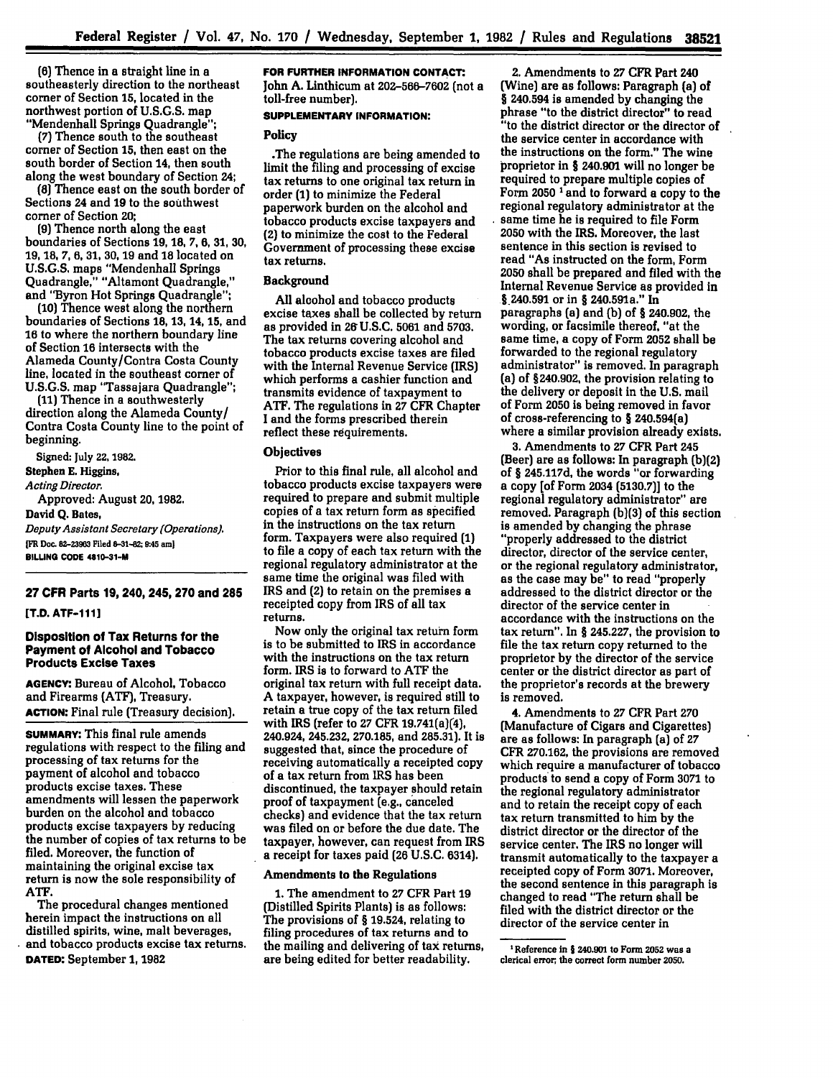**(6)** Thence in a straight line in a southeasterly direction to the northeast corner of Section **15,** located in the northwest portion of **U.S.G.S.** map "Mendenhall Springs Quadrangle";

**(7)** Thence south to the southeast corner of Section **15,** then east on the south border of Section 14, then south along the west boundary of Section **24;**

**(8)** Thence east on the south border of Sections 24 and **19** to the southwest corner of Section **20;**

**(9)** Thence north along the east boundaries of Sections **19, 18, 7, 6, 31, 30, 19, 18, 7, 6, 31, 30, 19** and **18** located on **U.S.G.S.** maps "Mendenhall Springs Quadrangle." "Altamont Quadrangle," and "Byron Hot Springs Quadrangle";

**(10)** Thence west along the northern boundaries of Sections **18, 13, 14, 15,** and **16** to where the northern boundary line of Section **16** intersects with the Alameda County/Contra Costa County line, located in the southeast corner of **U.S.G.S.** map "Tassajara Quadrangle";

**(11)** Thence in a southwesterly direction along the Alameda County/ Contra Costa County line to the point of beginning.

Signed: **July 22.1982.** Stephen **E.** Higgins, *Acting Director.* Approved: August **20, 1982.**

**David Q. Bates,** *Deputy Assistant Secretary (Operations).* **IFR Doc. 82-23963 Filed 8-31-82; 9:45 am)**

**BILLING CODE 4810-31-M** 

# **27 CFR Parts 19, 240, 245, 270 and 285**

**[T.D. ATF-111]**

## **Disposition of Tax Returns for the Payment of Alcohol and Tobacco Products Excise Taxes**

**AGENCY:** Bureau **of** Alcohol, Tobacco and Firearms **(ATF),** Treasury. **ACTION:** Final rule (Treasury decision).

**SUMMARY:** This final rule amends regulations with respect to the filing and processing of tax returns for the payment of alcohol and tobacco products excise taxes. These amendments will lessen the paperwork burden on the alcohol and tobacco products excise taxpayers **by** reducing the number of copies of tax returns to be filed. Moreover, the function of maintaining the original excise tax return is now the sole responsibility of **ATF.**

The procedural changes mentioned herein impact the instructions on all distilled spirits, wine, malt beverages, and tobacco products excise tax returns. **DATED:** September **1, 1982**

#### **FOR FURTHER INFORMATION CONTACT:.** John **A.** Linthicum at **202-566-7602** (not a

toll-free number).

# **SUPPLEMENTARY INFORMATION:**

Policy

.The regulations are being amended to limit the filing and processing of excise tax returns to one original tax return in order **(1)** to minimize the Federal paperwork burden on the alcohol and tobacco products excise taxpayers and **(2)** to minimize the cost to the Federal Government of processing these excise tax returns.

# **Background**

**All** alcohol and tobacco products excise taxes shall be collected **by** return as provided in **26U.S.C. 5061** and **5703.** The tax returns covering alcohol and tobacco products excise taxes are filed with the Internal Revenue Service (IRS) which performs a cashier function and transmits evidence of taxpayment to ATF. The regulations in **27** CFR Chapter I and the forms prescribed therein reflect these requirements.

# **Objectives**

Prior to this final rule, all alcohol and tobacco products excise taxpayers were required to prepare and submit multiple copies of a tax return form as specified in the instructions on the tax return form. Taxpayers were also required **(1)** to file a copy of each tax return with the regional regulatory administrator at the same time the original was filed with IRS and (2) to retain on the premises a receipted copy from IRS of all tax returns.

Now only the original tax return form is to be submitted to IRS in accordance with the instructions on the tax return form. IRS is to forward to **ATF** the original tax return with full receipt data. A taxpayer, however, is required still to retain a true copy of the tax return filed with IRS (refer to **27** CFR 19.741(a)(4), **240.924, 245.232, 270.185,** and **285.31).** It is suggested that, since the procedure of receiving automatically a receipted copy of a tax return from IRS has been discontinued, the taxpayer should retain proof of taxpayment (e.g., canceled checks) and evidence that the tax return was filed on or before the due date. The taxpayer, however, can request from IRS a receipt for taxes paid **(26 U.S.C.** 6314).

## Amendments to the Regulations

**1.** The amendment to **27** CFR Part **19** (Distilled Spirits Plants) is as follows: The provisions of § **19.524,** relating to filing procedures of tax returns and to the mailing and delivering of tax returns, are being edited for better readability.

2. Amendments to **27** CFR Part 240 (Wine) are as follows: Paragraph (a) of § **240.594** is amended **by** changing the phrase "to the district director" to read "to the district director or the director of the service center in accordance with the instructions on the form." The wine proprietor in § 240.901 will no longer be required to prepare multiple copies of Form **2050 1 and** to forward a copy to the regional regulatory administrator at the same time he is required to file Form **2050** with the IRS. Moreover, the last sentence in this section is revised to read "As instructed on the form, Form **2050** shall be prepared and filed with the Internal Revenue Service as provided in § 240.591 or in § 240.591a." In paragraphs (a) and **(b)** of § 240.902, the wording, or facsimile thereof, "at the same time, a copy of Form **2052** shall be forwarded to the regional regulatory administrator" is removed. In paragraph (a) of **§240.902,** the provision relating to the delivery or deposit in the **U.S.** mail of Form **2050** is being removed in favor of cross-referencing to § 240.594(a) where a similar provision already exists.

**3.** Amendments to **27** CFR Part **245** (Beer) are as follows: In paragraph **(b)(2)** of § 245.117d, the words "or forwarding a copy [of Form 2034 **(5130.7)]** to the regional regulatory administrator" are removed. Paragraph **(b)(3)** of this section is amended **by** changing the phrase "properly addressed to the district director, director of the service center, or the regional regulatory administrator, as the case may be" to read "properly addressed to the district director or the director of the service center in accordance with the instructions on the tax return". In § **245.227,** the provision to file the tax return copy returned to the proprietor **by** the director of the service center or the district director as part of the proprietor's records at the brewery is removed.

4. Amendments to 27 CFR Part **270** (Manufacture of Cigars and Cigarettes) are as follows: In paragraph (a) of **27** CFR **270.162,** the provisions are removed which require a manufacturer of tobacco products to send a copy of Form **3071** to the regional regulatory administrator and to retain the receipt copy of each tax return transmitted to him **by** the district director or the director of the service center. The IRS no longer will transmit automatically to the taxpayer a receipted copy of Form **3071.** Moreover, the second sentence in this paragraph is changed to read "The return shall be filed with the district director or the director of the service center in

**<sup>&#</sup>x27; Reference in 1 240.901 to Form 2052 was a clerical error, the correct form number 2050.**